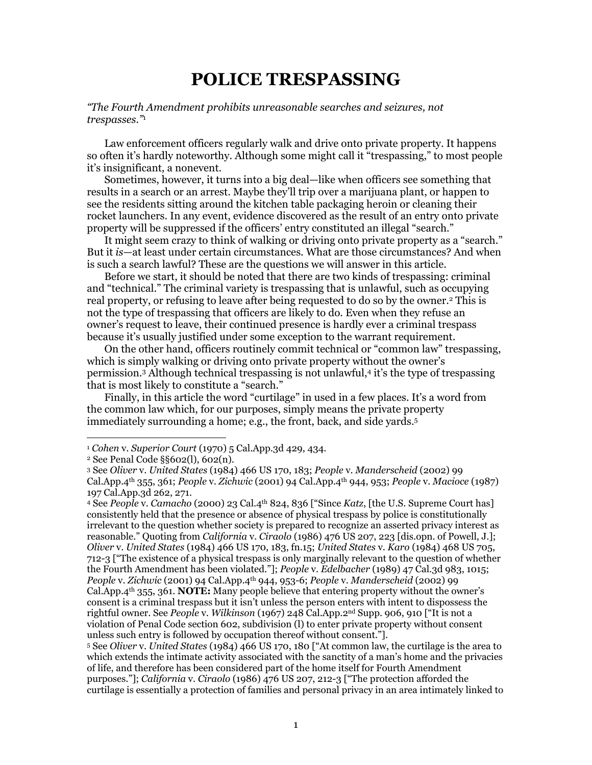# **POLICE TRESPASSING**

# <span id="page-0-4"></span>*"The Fourth Amendment prohibits unreasonable searches and seizures, not trespasses."*[1](#page-0-0)

Law enforcement officers regularly walk and drive onto private property. It happens so often it's hardly noteworthy. Although some might call it "trespassing," to most people it's insignificant, a nonevent.

Sometimes, however, it turns into a big deal—like when officers see something that results in a search or an arrest. Maybe they'll trip over a marijuana plant, or happen to see the residents sitting around the kitchen table packaging heroin or cleaning their rocket launchers. In any event, evidence discovered as the result of an entry onto private property will be suppressed if the officers' entry constituted an illegal "search."

It might seem crazy to think of walking or driving onto private property as a "search." But it *is*—at least under certain circumstances. What are those circumstances? And when is such a search lawful? These are the questions we will answer in this article.

Before we start, it should be noted that there are two kinds of trespassing: criminal and "technical." The criminal variety is trespassing that is unlawful, such as occupying real property, or refusing to leave after being requested to do so by the owner.[2 T](#page-0-1)his is not the type of trespassing that officers are likely to do. Even when they refuse an owner's request to leave, their continued presence is hardly ever a criminal trespass because it's usually justified under some exception to the warrant requirement.

On the other hand, officers routinely commit technical or "common law" trespassing, which is simply walking or driving onto private property without the owner's permission[.3](#page-0-2) Although technical trespassing is not unlawful,[4 i](#page-0-3)t's the type of trespassing that is most likely to constitute a "search."

Finally, in this article the word "curtilage" in used in a few places. It's a word from the common law which, for our purposes, simply means the private property immediately surrounding a home; e.g., the front, back, and side yards.[5](#page-0-4)

<span id="page-0-0"></span><sup>1</sup> *Cohen* v. *Superior Court* (1970) 5 Cal.App.3d 429, 434. 2 See Penal Code §§602(l), 602(n).

<span id="page-0-1"></span>

<span id="page-0-2"></span><sup>3</sup> See *Oliver* v. *United States* (1984) 466 US 170, 183; *People* v. *Manderscheid* (2002) 99 Cal.App.4th 355, 361; *People* v. *Zichwic* (2001) 94 Cal.App.4th 944, 953; *People* v. *Macioce* (1987) 197 Cal.App.3d 262, 271.

<span id="page-0-3"></span><sup>4</sup> See *People* v. *Camacho* (2000) 23 Cal.4th 824, 836 ["Since *Katz*, [the U.S. Supreme Court has] consistently held that the presence or absence of physical trespass by police is constitutionally irrelevant to the question whether society is prepared to recognize an asserted privacy interest as reasonable." Quoting from *California* v. *Ciraolo* (1986) 476 US 207, 223 [dis.opn. of Powell, J.]; *Oliver* v. *United States* (1984) 466 US 170, 183, fn.15; *United States* v. *Karo* (1984) 468 US 705, 712-3 ["The existence of a physical trespass is only marginally relevant to the question of whether the Fourth Amendment has been violated."]; *People* v. *Edelbacher* (1989) 47 Cal.3d 983, 1015; *People* v. *Zichwic* (2001) 94 Cal.App.4th 944, 953-6; *People* v. *Manderscheid* (2002) 99 Cal.App.4th 355, 361. **NOTE:** Many people believe that entering property without the owner's consent is a criminal trespass but it isn't unless the person enters with intent to dispossess the rightful owner. See *People* v. *Wilkinson* (1967) 248 Cal.App.2nd Supp. 906, 910 ["It is not a violation of Penal Code section 602, subdivision (l) to enter private property without consent

<sup>&</sup>lt;sup>5</sup> See *Oliver* v. *United States* (1984) 466 US 170, 180 ["At common law, the curtilage is the area to which extends the intimate activity associated with the sanctity of a man's home and the privacies of life, and therefore has been considered part of the home itself for Fourth Amendment purposes."]; *California* v. *Ciraolo* (1986) 476 US 207, 212-3 ["The protection afforded the curtilage is essentially a protection of families and personal privacy in an area intimately linked to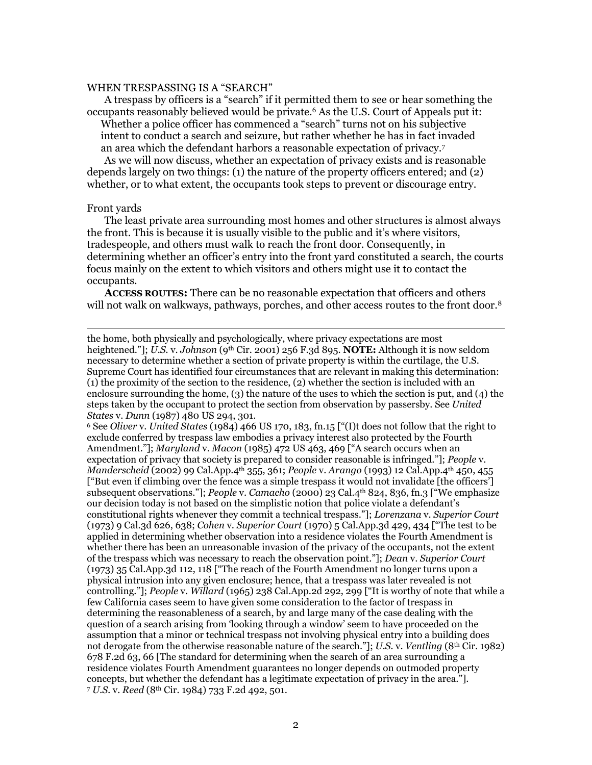# WHEN TRESPASSING IS A "SEARCH"

A trespass by officers is a "search" if it permitted them to see or hear something the occupants reasonably believed would be private.[6 A](#page-1-0)s the U.S. Court of Appeals put it:

Whether a police officer has commenced a "search" turns not on his subjective intent to conduct a search and seizure, but rather whether he has in fact invaded an area which the defendant harbors a reasonable expectation of privacy.[7](#page-1-1)

As we will now discuss, whether an expectation of privacy exists and is reasonable depends largely on two things: (1) the nature of the property officers entered; and (2) whether, or to what extent, the occupants took steps to prevent or discourage entry.

### Front yards

 $\overline{a}$ 

The least private area surrounding most homes and other structures is almost always the front. This is because it is usually visible to the public and it's where visitors, tradespeople, and others must walk to reach the front door. Consequently, in determining whether an officer's entry into the front yard constituted a search, the courts focus mainly on the extent to which visitors and others might use it to contact the occupants.

<span id="page-1-2"></span> **ACCESS ROUTES:** There can be no reasonable expectation that officers and others will not walk on walkways, pathways, porches, and other access routes to the front door.<sup>[8](#page-1-2)</sup>

the home, both physically and psychologically, where privacy expectations are most heightened."]; *U.S.* v. *Johnson* (9th Cir. 2001) 256 F.3d 895. **NOTE:** Although it is now seldom necessary to determine whether a section of private property is within the curtilage, the U.S. Supreme Court has identified four circumstances that are relevant in making this determination: (1) the proximity of the section to the residence, (2) whether the section is included with an enclosure surrounding the home, (3) the nature of the uses to which the section is put, and (4) the steps taken by the occupant to protect the section from observation by passersby. See *United States* v. *Dunn* (1987) 480 US 294, 301.

<span id="page-1-1"></span><span id="page-1-0"></span>6 See *Oliver* v. *United States* (1984) 466 US 170, 183, fn.15 ["(I)t does not follow that the right to exclude conferred by trespass law embodies a privacy interest also protected by the Fourth Amendment."]; *Maryland* v. *Macon* (1985) 472 US 463, 469 ["A search occurs when an expectation of privacy that society is prepared to consider reasonable is infringed."]; *People* v. *Manderscheid* (2002) 99 Cal.App.4th 355, 361; *People* v. *Arango* (1993) 12 Cal.App.4th 450, 455 ["But even if climbing over the fence was a simple trespass it would not invalidate [the officers'] subsequent observations."]; *People* v. *Camacho* (2000) 23 Cal.4th 824, 836, fn.3 ["We emphasize our decision today is not based on the simplistic notion that police violate a defendant's constitutional rights whenever they commit a technical trespass."]; *Lorenzana* v. *Superior Court* (1973) 9 Cal.3d 626, 638; *Cohen* v. *Superior Court* (1970) 5 Cal.App.3d 429, 434 ["The test to be applied in determining whether observation into a residence violates the Fourth Amendment is whether there has been an unreasonable invasion of the privacy of the occupants, not the extent of the trespass which was necessary to reach the observation point."]; *Dean* v. *Superior Court* (1973) 35 Cal.App.3d 112, 118 ["The reach of the Fourth Amendment no longer turns upon a physical intrusion into any given enclosure; hence, that a trespass was later revealed is not controlling."]; *People* v. *Willard* (1965) 238 Cal.App.2d 292, 299 ["It is worthy of note that while a few California cases seem to have given some consideration to the factor of trespass in determining the reasonableness of a search, by and large many of the case dealing with the question of a search arising from 'looking through a window' seem to have proceeded on the assumption that a minor or technical trespass not involving physical entry into a building does not derogate from the otherwise reasonable nature of the search."]; *U.S.* v. *Ventling* (8th Cir. 1982) 678 F.2d 63, 66 [The standard for determining when the search of an area surrounding a residence violates Fourth Amendment guarantees no longer depends on outmoded property concepts, but whether the defendant has a legitimate expectation of privacy in the area."]. <sup>7</sup> *U.S.* v. *Reed* (8th Cir. 1984) 733 F.2d 492, 501.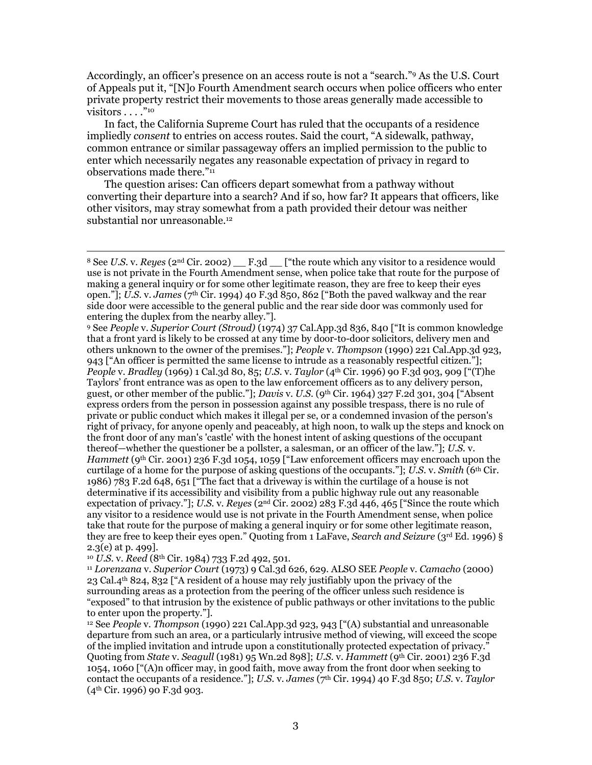Accordingly, an officer's presence on an access route is not a "search."[9](#page-2-0) As the U.S. Court of Appeals put it, "[N]o Fourth Amendment search occurs when police officers who enter private property restrict their movements to those areas generally made accessible to  $\overline{\text{visitors}}$  . . . .  $\overline{\text{``10}}$  $\overline{\text{``10}}$  $\overline{\text{``10}}$ 

In fact, the California Supreme Court has ruled that the occupants of a residence impliedly *consent* to entries on access routes. Said the court, "A sidewalk, pathway, common entrance or similar passageway offers an implied permission to the public to enter which necessarily negates any reasonable expectation of privacy in regard to observations made there."[11](#page-2-2)

The question arises: Can officers depart somewhat from a pathway without converting their departure into a search? And if so, how far? It appears that officers, like other visitors, may stray somewhat from a path provided their detour was neither substantial nor unreasonable.[12](#page-2-3)

<span id="page-2-0"></span>9 See *People* v. *Superior Court (Stroud)* (1974) 37 Cal.App.3d 836, 840 ["It is common knowledge that a front yard is likely to be crossed at any time by door-to-door solicitors, delivery men and others unknown to the owner of the premises."]; *People* v. *Thompson* (1990) 221 Cal.App.3d 923, 943 ["An officer is permitted the same license to intrude as a reasonably respectful citizen."]; *People* v. *Bradley* (1969) 1 Cal.3d 80, 85; *U.S.* v. *Taylor* (4th Cir. 1996) 90 F.3d 903, 909 ["(T)he Taylors' front entrance was as open to the law enforcement officers as to any delivery person, guest, or other member of the public."]; *Davis* v. *U.S.* (9th Cir. 1964) 327 F.2d 301, 304 ["Absent express orders from the person in possession against any possible trespass, there is no rule of private or public conduct which makes it illegal per se, or a condemned invasion of the person's right of privacy, for anyone openly and peaceably, at high noon, to walk up the steps and knock on the front door of any man's 'castle' with the honest intent of asking questions of the occupant thereof—whether the questioner be a pollster, a salesman, or an officer of the law."]; *U.S.* v. *Hammett* (9<sup>th</sup> Cir. 2001) 236 F.3d 1054, 1059 ["Law enforcement officers may encroach upon the curtilage of a home for the purpose of asking questions of the occupants."]; *U.S.* v. *Smith* (6th Cir. 1986) 783 F.2d 648, 651 ["The fact that a driveway is within the curtilage of a house is not determinative if its accessibility and visibility from a public highway rule out any reasonable expectation of privacy."]; *U.S.* v. *Reyes* (2nd Cir. 2002) 283 F.3d 446, 465 ["Since the route which any visitor to a residence would use is not private in the Fourth Amendment sense, when police take that route for the purpose of making a general inquiry or for some other legitimate reason, they are free to keep their eyes open." Quoting from 1 LaFave, *Search and Seizure* (3rd Ed. 1996) § 2.3(e) at p. 499].<br><sup>10</sup> *U.S. v. Reed* (8<sup>th</sup> Cir. 1984) 733 F.2d 492, 501.

<span id="page-2-1"></span>

<span id="page-2-2"></span><sup>10</sup> *U.S.* v. *Reed* (8th Cir. 1984) 733 F.2d 492, 501. 11 *Lorenzana* v. *Superior Court* (1973) 9 Cal.3d 626, 629. ALSO SEE *People* v. *Camacho* (2000) 23 Cal.4<sup>th</sup> 824, 832 ["A resident of a house may rely justifiably upon the privacy of the surrounding areas as a protection from the peering of the officer unless such residence is "exposed" to that intrusion by the existence of public pathways or other invitations to the public to enter upon the property."]. 12 See *People* v. *Thompson* (1990) 221 Cal.App.3d 923, 943 ["(A) substantial and unreasonable

<span id="page-2-3"></span>departure from such an area, or a particularly intrusive method of viewing, will exceed the scope of the implied invitation and intrude upon a constitutionally protected expectation of privacy." Quoting from *State* v. *Seagull* (1981) 95 Wn.2d 898]; *U.S*. v. *Hammett* (9th Cir. 2001) 236 F.3d 1054, 1060 ["(A)n officer may, in good faith, move away from the front door when seeking to contact the occupants of a residence."]; *U.S.* v. *James* (7th Cir. 1994) 40 F.3d 850; *U.S.* v. *Taylor* (4th Cir. 1996) 90 F.3d 903.

<sup>&</sup>lt;sup>8</sup> See *U.S.* v. *Reyes* (2<sup>nd</sup> Cir. 2002) F.3d <sup>["the</sup> route which any visitor to a residence would use is not private in the Fourth Amendment sense, when police take that route for the purpose of making a general inquiry or for some other legitimate reason, they are free to keep their eyes open."]; *U.S.* v. *James* (7th Cir. 1994) 40 F.3d 850, 862 ["Both the paved walkway and the rear side door were accessible to the general public and the rear side door was commonly used for entering the duplex from the nearby alley."].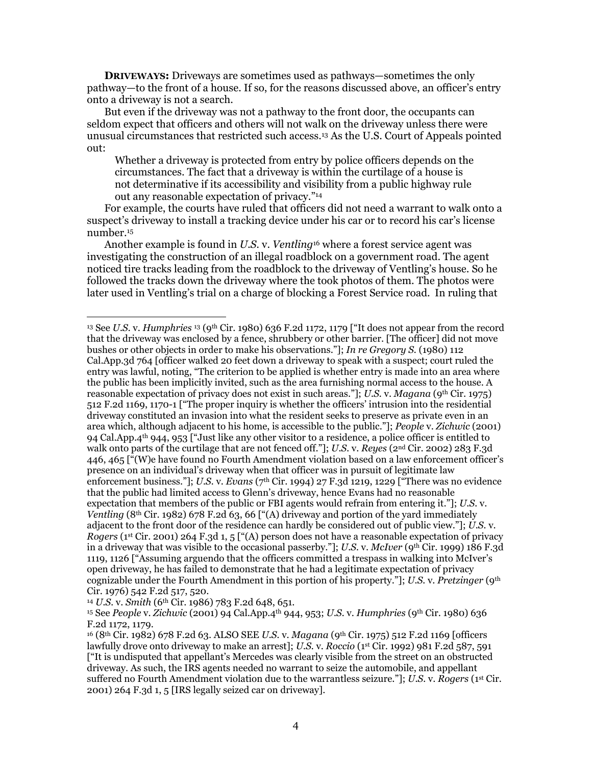**DRIVEWAYS:** Driveways are sometimes used as pathways—sometimes the only pathway—to the front of a house. If so, for the reasons discussed above, an officer's entry onto a driveway is not a search.

But even if the driveway was not a pathway to the front door, the occupants can seldom expect that officers and others will not walk on the driveway unless there were unusual circumstances that restricted such access.[13 A](#page-3-0)s the U.S. Court of Appeals pointed out:

Whether a driveway is protected from entry by police officers depends on the circumstances. The fact that a driveway is within the curtilage of a house is not determinative if its accessibility and visibility from a public highway rule out any reasonable expectation of privacy."[14](#page-3-1) 

For example, the courts have ruled that officers did not need a warrant to walk onto a suspect's driveway to install a tracking device under his car or to record his car's license number[.15](#page-3-2) 

Another example is found in *U.S.* v. *Ventling*[16 w](#page-3-3)here a forest service agent was investigating the construction of an illegal roadblock on a government road. The agent noticed tire tracks leading from the roadblock to the driveway of Ventling's house. So he followed the tracks down the driveway where the took photos of them. The photos were later used in Ventling's trial on a charge of blocking a Forest Service road. In ruling that

<span id="page-3-1"></span><sup>14</sup> *U.S.* v. *Smith* (6th Cir. 1986) 783 F.2d 648, 651.

<span id="page-3-0"></span> <sup>13</sup> See *U.S.* v. *Humphries* 13 (9th Cir. 1980) 636 F.2d 1172, 1179 ["It does not appear from the record that the driveway was enclosed by a fence, shrubbery or other barrier. [The officer] did not move bushes or other objects in order to make his observations."]; *In re Gregory S.* (1980) 112 Cal.App.3d 764 [officer walked 20 feet down a driveway to speak with a suspect; court ruled the entry was lawful, noting, "The criterion to be applied is whether entry is made into an area where the public has been implicitly invited, such as the area furnishing normal access to the house. A reasonable expectation of privacy does not exist in such areas."]; *U.S.* v. *Magana* (9th Cir. 1975) 512 F.2d 1169, 1170-1 ["The proper inquiry is whether the officers' intrusion into the residential driveway constituted an invasion into what the resident seeks to preserve as private even in an area which, although adjacent to his home, is accessible to the public."]; *People* v. *Zichwic* (2001) 94 Cal.App.4th 944, 953 ["Just like any other visitor to a residence, a police officer is entitled to walk onto parts of the curtilage that are not fenced off."]; *U.S.* v. *Reyes* (2nd Cir. 2002) 283 F.3d 446, 465 ["(W)e have found no Fourth Amendment violation based on a law enforcement officer's presence on an individual's driveway when that officer was in pursuit of legitimate law enforcement business."]; *U.S.* v. *Evans* (7th Cir. 1994) 27 F.3d 1219, 1229 ["There was no evidence that the public had limited access to Glenn's driveway, hence Evans had no reasonable expectation that members of the public or FBI agents would refrain from entering it."]; *U.S.* v. *Ventling* (8th Cir. 1982) 678 F.2d 63, 66 ["(A) driveway and portion of the yard immediately adjacent to the front door of the residence can hardly be considered out of public view."]; *U.S.* v. *Rogers* (1st Cir. 2001) 264 F.3d 1, 5 ["(A) person does not have a reasonable expectation of privacy in a driveway that was visible to the occasional passerby."]; *U.S.* v. *McIver* (9th Cir. 1999) 186 F.3d 1119, 1126 ["Assuming arguendo that the officers committed a trespass in walking into McIver's open driveway, he has failed to demonstrate that he had a legitimate expectation of privacy cognizable under the Fourth Amendment in this portion of his property."]; *U.S.* v. *Pretzinger* (9th Cir. 1976) 542 F.2d 517, 520.

<span id="page-3-2"></span><sup>15</sup> See *People* v. *Zichwic* (2001) 94 Cal.App.4th 944, 953; *U.S.* v. *Humphries* (9th Cir. 1980) 636 F.2d 1172, 1179.

<span id="page-3-3"></span><sup>16 (8</sup>th Cir. 1982) 678 F.2d 63. ALSO SEE *U.S.* v. *Magana* (9th Cir. 1975) 512 F.2d 1169 [officers lawfully drove onto driveway to make an arrest]; *U.S.* v. *Roccio* (1st Cir. 1992) 981 F.2d 587, 591 ["It is undisputed that appellant's Mercedes was clearly visible from the street on an obstructed driveway. As such, the IRS agents needed no warrant to seize the automobile, and appellant suffered no Fourth Amendment violation due to the warrantless seizure."]; *U.S.* v. *Rogers* (1st Cir. 2001) 264 F.3d 1, 5 [IRS legally seized car on driveway].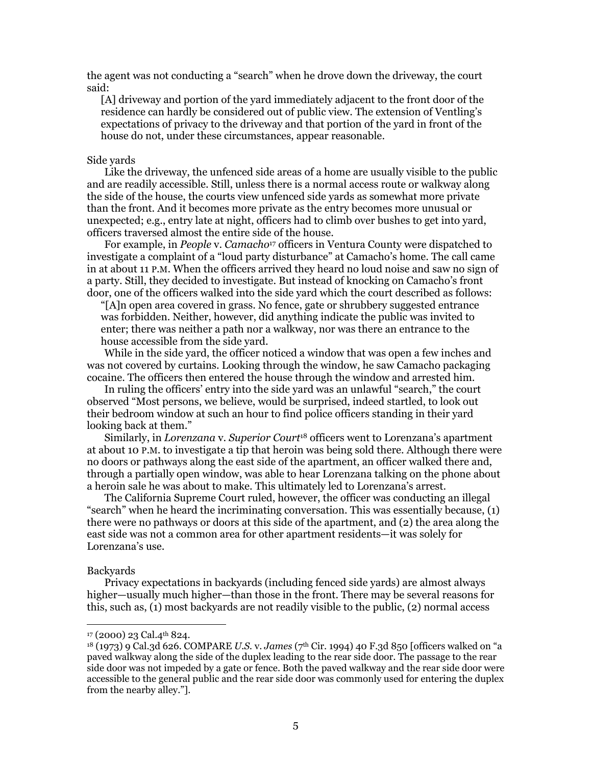the agent was not conducting a "search" when he drove down the driveway, the court said:

[A] driveway and portion of the yard immediately adjacent to the front door of the residence can hardly be considered out of public view. The extension of Ventling's expectations of privacy to the driveway and that portion of the yard in front of the house do not, under these circumstances, appear reasonable.

### Side yards

Like the driveway, the unfenced side areas of a home are usually visible to the public and are readily accessible. Still, unless there is a normal access route or walkway along the side of the house, the courts view unfenced side yards as somewhat more private than the front. And it becomes more private as the entry becomes more unusual or unexpected; e.g., entry late at night, officers had to climb over bushes to get into yard, officers traversed almost the entire side of the house.

For example, in *People* v. *Camacho*[17 o](#page-4-0)fficers in Ventura County were dispatched to investigate a complaint of a "loud party disturbance" at Camacho's home. The call came in at about 11 P.M. When the officers arrived they heard no loud noise and saw no sign of a party. Still, they decided to investigate. But instead of knocking on Camacho's front door, one of the officers walked into the side yard which the court described as follows:

"[A]n open area covered in grass. No fence, gate or shrubbery suggested entrance was forbidden. Neither, however, did anything indicate the public was invited to enter; there was neither a path nor a walkway, nor was there an entrance to the house accessible from the side yard.

While in the side yard, the officer noticed a window that was open a few inches and was not covered by curtains. Looking through the window, he saw Camacho packaging cocaine. The officers then entered the house through the window and arrested him.

In ruling the officers' entry into the side yard was an unlawful "search," the court observed "Most persons, we believe, would be surprised, indeed startled, to look out their bedroom window at such an hour to find police officers standing in their yard looking back at them."

 Similarly, in *Lorenzana* v. *Superior Court*[18 o](#page-4-1)fficers went to Lorenzana's apartment at about 10 P.M. to investigate a tip that heroin was being sold there. Although there were no doors or pathways along the east side of the apartment, an officer walked there and, through a partially open window, was able to hear Lorenzana talking on the phone about a heroin sale he was about to make. This ultimately led to Lorenzana's arrest.

The California Supreme Court ruled, however, the officer was conducting an illegal "search" when he heard the incriminating conversation. This was essentially because, (1) there were no pathways or doors at this side of the apartment, and (2) the area along the east side was not a common area for other apartment residents—it was solely for Lorenzana's use.

### Backyards

Privacy expectations in backyards (including fenced side yards) are almost always higher—usually much higher—than those in the front. There may be several reasons for this, such as, (1) most backyards are not readily visible to the public, (2) normal access

<span id="page-4-0"></span> $17 (2000)$  23 Cal. $4<sup>th</sup>$  824.

<span id="page-4-1"></span><sup>18 (1973) 9</sup> Cal.3d 626. COMPARE *U.S.* v. *James* (7th Cir. 1994) 40 F.3d 850 [officers walked on "a paved walkway along the side of the duplex leading to the rear side door. The passage to the rear side door was not impeded by a gate or fence. Both the paved walkway and the rear side door were accessible to the general public and the rear side door was commonly used for entering the duplex from the nearby alley."].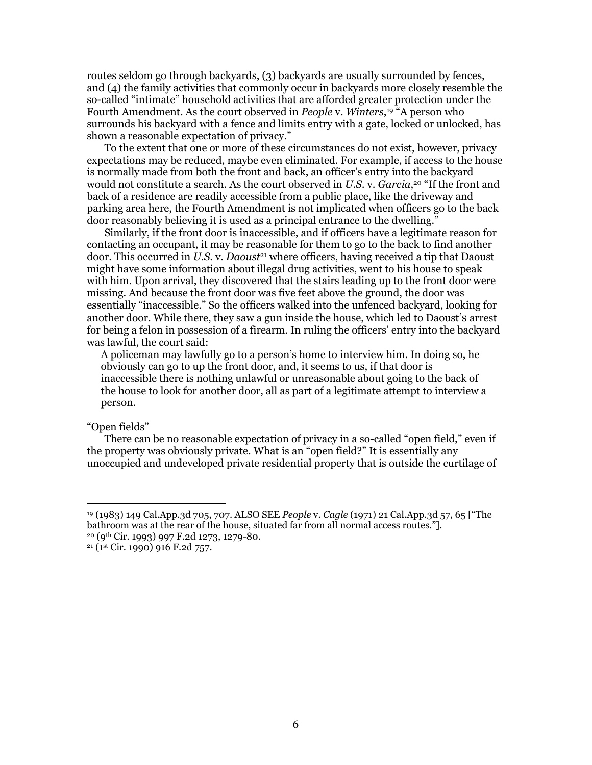routes seldom go through backyards, (3) backyards are usually surrounded by fences, and (4) the family activities that commonly occur in backyards more closely resemble the so-called "intimate" household activities that are afforded greater protection under the Fourth Amendment. As the court observed in *People* v. *Winters*, [19 "](#page-5-0)A person who surrounds his backyard with a fence and limits entry with a gate, locked or unlocked, has shown a reasonable expectation of privacy."

To the extent that one or more of these circumstances do not exist, however, privacy expectations may be reduced, maybe even eliminated. For example, if access to the house is normally made from both the front and back, an officer's entry into the backyard would not constitute a search. As the court observed in *U.S.* v. *Garcia*, [20 "](#page-5-1)If the front and back of a residence are readily accessible from a public place, like the driveway and parking area here, the Fourth Amendment is not implicated when officers go to the back door reasonably believing it is used as a principal entrance to the dwelling."

Similarly, if the front door is inaccessible, and if officers have a legitimate reason for contacting an occupant, it may be reasonable for them to go to the back to find another door. This occurred in *U.S.* v. *Daoust*[21 w](#page-5-2)here officers, having received a tip that Daoust might have some information about illegal drug activities, went to his house to speak with him. Upon arrival, they discovered that the stairs leading up to the front door were missing. And because the front door was five feet above the ground, the door was essentially "inaccessible." So the officers walked into the unfenced backyard, looking for another door. While there, they saw a gun inside the house, which led to Daoust's arrest for being a felon in possession of a firearm. In ruling the officers' entry into the backyard was lawful, the court said:

A policeman may lawfully go to a person's home to interview him. In doing so, he obviously can go to up the front door, and, it seems to us, if that door is inaccessible there is nothing unlawful or unreasonable about going to the back of the house to look for another door, all as part of a legitimate attempt to interview a person.

# "Open fields"

There can be no reasonable expectation of privacy in a so-called "open field," even if the property was obviously private. What is an "open field?" It is essentially any unoccupied and undeveloped private residential property that is outside the curtilage of

<span id="page-5-0"></span> <sup>19 (1983) 149</sup> Cal.App.3d 705, 707. ALSO SEE *People* v. *Cagle* (1971) 21 Cal.App.3d 57, 65 ["The bathroom was at the rear of the house, situated far from all normal access routes."].

<span id="page-5-1"></span><sup>20 (9</sup>th Cir. 1993) 997 F.2d 1273, 1279-80.

<span id="page-5-2"></span><sup>21 (1</sup>st Cir. 1990) 916 F.2d 757.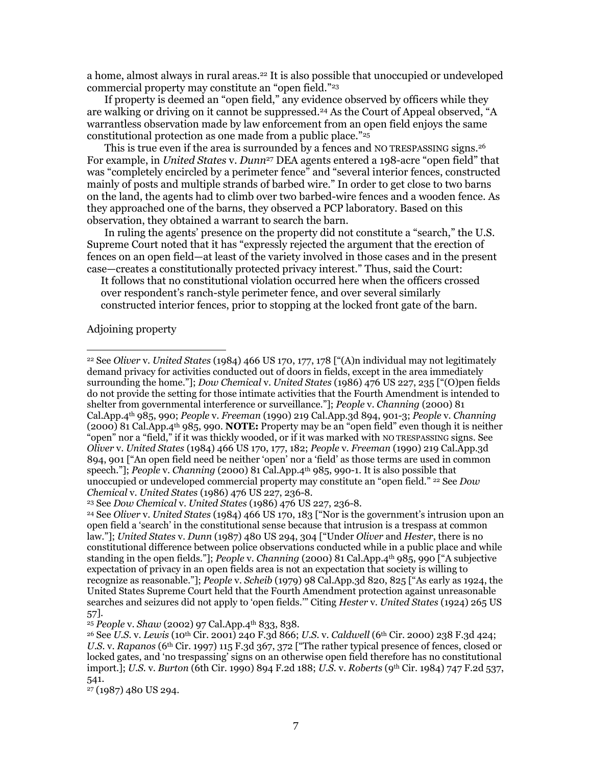a home, almost always in rural areas.[22](#page-6-0) It is also possible that unoccupied or undeveloped commercial property may constitute an "open field."[23](#page-6-1)

If property is deemed an "open field," any evidence observed by officers while they are walking or driving on it cannot be suppressed.<sup>24</sup> As the Court of Appeal observed, "A warrantless observation made by law enforcement from an open field enjoys the same constitutional protection as one made from a public place."[25](#page-6-3) 

This is true even if the area is surrounded by a fences and NO TRESPASSING signs.<sup>[26](#page-6-4)</sup> For example, in *United States* v. *Dunn*[27 D](#page-6-5)EA agents entered a 198-acre "open field" that was "completely encircled by a perimeter fence" and "several interior fences, constructed mainly of posts and multiple strands of barbed wire." In order to get close to two barns on the land, the agents had to climb over two barbed-wire fences and a wooden fence. As they approached one of the barns, they observed a PCP laboratory. Based on this observation, they obtained a warrant to search the barn.

In ruling the agents' presence on the property did not constitute a "search," the U.S. Supreme Court noted that it has "expressly rejected the argument that the erection of fences on an open field—at least of the variety involved in those cases and in the present case—creates a constitutionally protected privacy interest." Thus, said the Court:

It follows that no constitutional violation occurred here when the officers crossed over respondent's ranch-style perimeter fence, and over several similarly constructed interior fences, prior to stopping at the locked front gate of the barn.

# Adjoining property

<span id="page-6-2"></span>24 See *Oliver* v. *United States* (1984) 466 US 170, 183 ["Nor is the government's intrusion upon an open field a 'search' in the constitutional sense because that intrusion is a trespass at common law."]; *United States* v. *Dunn* (1987) 480 US 294, 304 ["Under *Oliver* and *Hester*, there is no constitutional difference between police observations conducted while in a public place and while standing in the open fields."]; *People* v. *Channing* (2000) 81 Cal.App.4th 985, 990 ["A subjective expectation of privacy in an open fields area is not an expectation that society is willing to recognize as reasonable."]; *People* v. *Scheib* (1979) 98 Cal.App.3d 820, 825 ["As early as 1924, the United States Supreme Court held that the Fourth Amendment protection against unreasonable searches and seizures did not apply to 'open fields.'" Citing *Hester* v. *United States* (1924) 265 US 57].

<span id="page-6-3"></span><sup>25</sup> *People* v. *Shaw* (2002) 97 Cal.App.4th 833, 838.

<span id="page-6-5"></span>27 (1987) 480 US 294.

<span id="page-6-0"></span> <sup>22</sup> See *Oliver* v. *United States* (1984) 466 US 170, 177, 178 ["(A)n individual may not legitimately demand privacy for activities conducted out of doors in fields, except in the area immediately surrounding the home."]; *Dow Chemical* v. *United States* (1986) 476 US 227, 235 ["(O)pen fields do not provide the setting for those intimate activities that the Fourth Amendment is intended to shelter from governmental interference or surveillance."]; *People* v. *Channing* (2000) 81 Cal.App.4th 985, 990; *People* v. *Freeman* (1990) 219 Cal.App.3d 894, 901-3; *People* v. *Channing* (2000) 81 Cal.App.4th 985, 990. **NOTE:** Property may be an "open field" even though it is neither "open" nor a "field," if it was thickly wooded, or if it was marked with NO TRESPASSING signs. See *Oliver* v. *United States* (1984) 466 US 170, 177, 182; *People* v. *Freeman* (1990) 219 Cal.App.3d 894, 901 ["An open field need be neither 'open' nor a 'field' as those terms are used in common speech."]; *People* v. *Channing* (2000) 81 Cal.App.4th 985, 990-1. It is also possible that unoccupied or undeveloped commercial property may constitute an "open field." 22 See *Dow Chemical* v. *United States* (1986) 476 US 227, 236-8.

<span id="page-6-1"></span><sup>23</sup> See *Dow Chemical* v. *United States* (1986) 476 US 227, 236-8.

<span id="page-6-4"></span><sup>26</sup> See *U.S.* v. *Lewis* (10th Cir. 2001) 240 F.3d 866; *U.S.* v. *Caldwell* (6th Cir. 2000) 238 F.3d 424; *U.S.* v. *Rapanos* (6th Cir. 1997) 115 F.3d 367, 372 ["The rather typical presence of fences, closed or locked gates, and 'no trespassing' signs on an otherwise open field therefore has no constitutional import.]; *U.S.* v. *Burton* (6th Cir. 1990) 894 F.2d 188; *U.S.* v. *Roberts* (9th Cir. 1984) 747 F.2d 537, 541.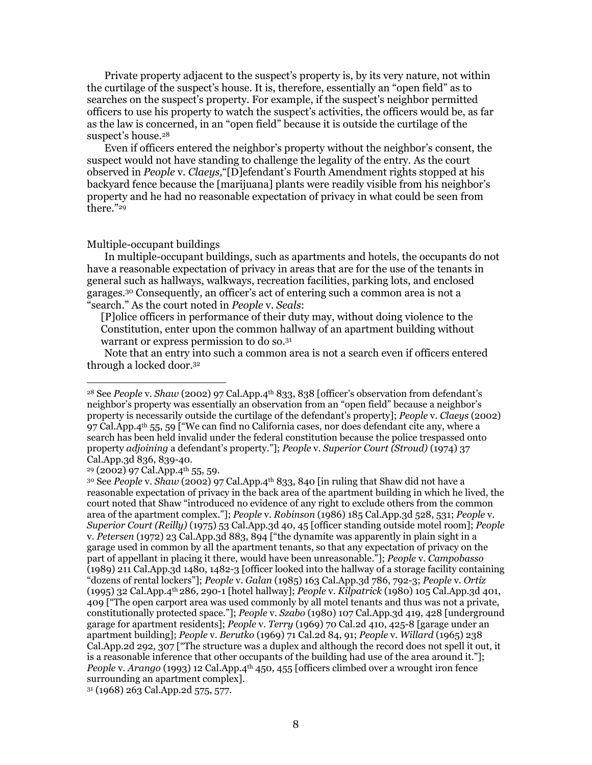Private property adjacent to the suspect's property is, by its very nature, not within the curtilage of the suspect's house. It is, therefore, essentially an "open field" as to searches on the suspect's property. For example, if the suspect's neighbor permitted officers to use his property to watch the suspect's activities, the officers would be, as far as the law is concerned, in an "open field" because it is outside the curtilage of the suspect's house.<sup>28</sup>

Even if officers entered the neighbor's property without the neighbor's consent, the suspect would not have standing to challenge the legality of the entry. As the court observed in *People* v. *Claeys,*"[D]efendant's Fourth Amendment rights stopped at his backyard fence because the [marijuana] plants were readily visible from his neighbor's property and he had no reasonable expectation of privacy in what could be seen from there."[29](#page-7-1)

# Multiple-occupant buildings

In multiple-occupant buildings, such as apartments and hotels, the occupants do not have a reasonable expectation of privacy in areas that are for the use of the tenants in general such as hallways, walkways, recreation facilities, parking lots, and enclosed garages.[30](#page-7-2) Consequently, an officer's act of entering such a common area is not a "search." As the court noted in *People* v. *Seals*:

[P]olice officers in performance of their duty may, without doing violence to the Constitution, enter upon the common hallway of an apartment building without warrant or express permission to do so.[31](#page-7-3)

Note that an entry into such a common area is not a search even if officers entered through a locked door.[32](#page-7-4)

<span id="page-7-4"></span><span id="page-7-1"></span>Cal.App.3d 836, 839-40.<br><sup>29</sup> (2002) 97 Cal.App.4<sup>th</sup> 55, 59.

<span id="page-7-0"></span> <sup>28</sup> See *People* v. *Shaw* (2002) 97 Cal.App.4th 833, 838 [officer's observation from defendant's neighbor's property was essentially an observation from an "open field" because a neighbor's property is necessarily outside the curtilage of the defendant's property]; *People* v. *Claeys* (2002) 97 Cal.App. $4<sup>th</sup>$  55, 59 ["We can find no California cases, nor does defendant cite any, where a search has been held invalid under the federal constitution because the police trespassed onto property *adjoining* a defendant's property."]; *People* v. *Superior Court (Stroud)* (1974) 37

<span id="page-7-2"></span><sup>30</sup> See *People* v. *Shaw* (2002) 97 Cal.App.4th 833, 840 [in ruling that Shaw did not have a reasonable expectation of privacy in the back area of the apartment building in which he lived, the court noted that Shaw "introduced no evidence of any right to exclude others from the common area of the apartment complex."]; *People* v. *Robinson* (1986) 185 Cal.App.3d 528, 531; *People* v. *Superior Court (Reilly)* (1975) 53 Cal.App.3d 40, 45 [officer standing outside motel room]; *People* v. *Petersen* (1972) 23 Cal.App.3d 883, 894 ["the dynamite was apparently in plain sight in a garage used in common by all the apartment tenants, so that any expectation of privacy on the part of appellant in placing it there, would have been unreasonable."]; *People* v. *Campobasso*  (1989) 211 Cal.App.3d 1480, 1482-3 [officer looked into the hallway of a storage facility containing "dozens of rental lockers"]; *People* v. *Galan* (1985) 163 Cal.App.3d 786, 792-3; *People* v. *Ortiz*  (1995) 32 Cal.App.4th 286, 290-1 [hotel hallway]; *People* v. *Kilpatrick* (1980) 105 Cal.App.3d 401, 409 ["The open carport area was used commonly by all motel tenants and thus was not a private, constitutionally protected space."]; *People* v. *Szabo* (1980) 107 Cal.App.3d 419, 428 [underground garage for apartment residents]; *People* v. *Terry* (1969) 70 Cal.2d 410, 425-8 [garage under an apartment building]; *People* v. *Berutko* (1969) 71 Cal.2d 84, 91; *People* v. *Willard* (1965) 238 Cal.App.2d 292, 307 ["The structure was a duplex and although the record does not spell it out, it is a reasonable inference that other occupants of the building had use of the area around it."]; *People* v. *Arango* (1993) 12 Cal.App.4th 450, 455 [officers climbed over a wrought iron fence surrounding an apartment complex].

<span id="page-7-3"></span><sup>31 (1968) 263</sup> Cal.App.2d 575, 577.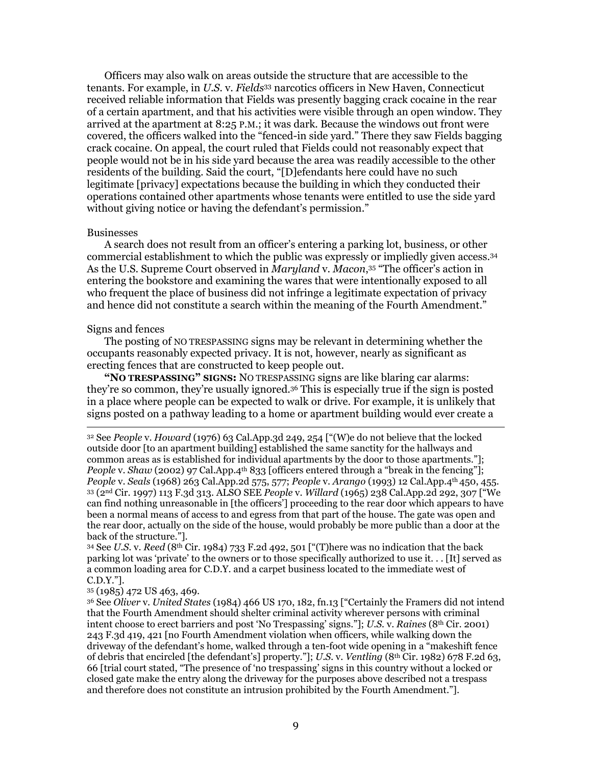Officers may also walk on areas outside the structure that are accessible to the tenants. For example, in *U.S.* v. *Fields*[33](#page-8-0) narcotics officers in New Haven, Connecticut received reliable information that Fields was presently bagging crack cocaine in the rear of a certain apartment, and that his activities were visible through an open window. They arrived at the apartment at 8:25 P.M.; it was dark. Because the windows out front were covered, the officers walked into the "fenced-in side yard." There they saw Fields bagging crack cocaine. On appeal, the court ruled that Fields could not reasonably expect that people would not be in his side yard because the area was readily accessible to the other residents of the building. Said the court, "[D]efendants here could have no such legitimate [privacy] expectations because the building in which they conducted their operations contained other apartments whose tenants were entitled to use the side yard without giving notice or having the defendant's permission."

### Businesses

A search does not result from an officer's entering a parking lot, business, or other commercial establishment to which the public was expressly or impliedly given access.[34](#page-8-1) As the U.S. Supreme Court observed in *Maryland* v. *Macon*, [35](#page-8-2) "The officer's action in entering the bookstore and examining the wares that were intentionally exposed to all who frequent the place of business did not infringe a legitimate expectation of privacy and hence did not constitute a search within the meaning of the Fourth Amendment."

### Signs and fences

The posting of NO TRESPASSING signs may be relevant in determining whether the occupants reasonably expected privacy. It is not, however, nearly as significant as erecting fences that are constructed to keep people out.

**"NO TRESPASSING" SIGNS:** NO TRESPASSING signs are like blaring car alarms: they're so common, they're usually ignored.[36 T](#page-0-0)his is especially true if the sign is posted in a place where people can be expected to walk or drive. For example, it is unlikely that signs posted on a pathway leading to a home or apartment building would ever create a

<span id="page-8-0"></span> 32 See *People* v. *Howard* (1976) 63 Cal.App.3d 249, 254 ["(W)e do not believe that the locked outside door [to an apartment building] established the same sanctity for the hallways and common areas as is established for individual apartments by the door to those apartments."]; *People* v. *Shaw* (2002) 97 Cal.App.4<sup>th</sup> 833 [officers entered through a "break in the fencing"]; *People* v. *Seals* (1968) 263 Cal.App.2d 575, 577; *People* v. *Arango* (1993) 12 Cal.App.4th 450, 455. 33 (2nd Cir. 1997) 113 F.3d 313. ALSO SEE *People* v. *Willard* (1965) 238 Cal.App.2d 292, 307 ["We can find nothing unreasonable in [the officers'] proceeding to the rear door which appears to have been a normal means of access to and egress from that part of the house. The gate was open and the rear door, actually on the side of the house, would probably be more public than a door at the back of the structure."].

<span id="page-8-1"></span>34 See *U.S.* v. *Reed* (8th Cir. 1984) 733 F.2d 492, 501 ["(T)here was no indication that the back parking lot was 'private' to the owners or to those specifically authorized to use it. . . [It] served as a common loading area for C.D.Y. and a carpet business located to the immediate west of C.D.Y."].

<span id="page-8-2"></span>35 (1985) 472 US 463, 469.

<span id="page-8-3"></span>36 See *Oliver* v. *United States* (1984) 466 US 170, 182, fn.13 ["Certainly the Framers did not intend that the Fourth Amendment should shelter criminal activity wherever persons with criminal intent choose to erect barriers and post 'No Trespassing' signs."]; *U.S.* v. *Raines* (8th Cir. 2001) 243 F.3d 419, 421 [no Fourth Amendment violation when officers, while walking down the driveway of the defendant's home, walked through a ten-foot wide opening in a "makeshift fence of debris that encircled [the defendant's] property."]; *U.S.* v. *Ventling* (8th Cir. 1982) 678 F.2d 63, 66 [trial court stated, "The presence of 'no trespassing' signs in this country without a locked or closed gate make the entry along the driveway for the purposes above described not a trespass and therefore does not constitute an intrusion prohibited by the Fourth Amendment."].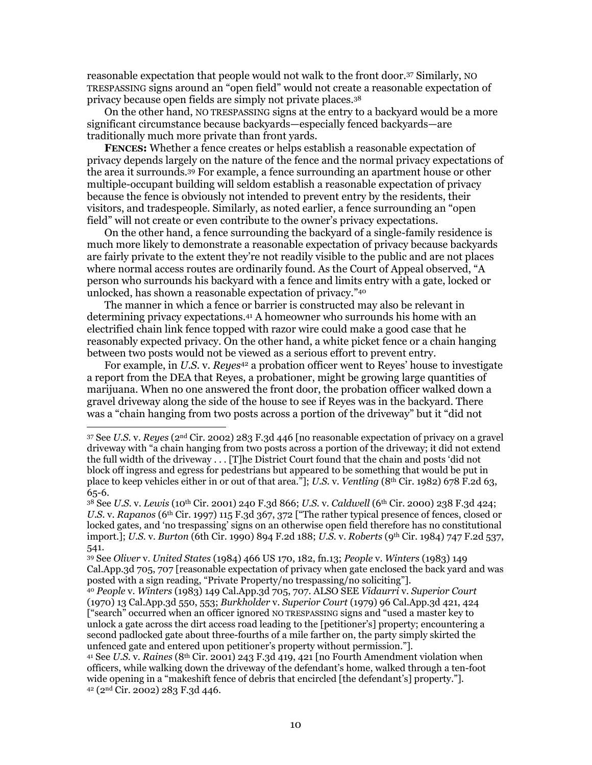reasonable expectation that people would not walk to the front door.[37 S](#page-9-0)imilarly, NO TRESPASSING signs around an "open field" would not create a reasonable expectation of privacy because open fields are simply not private places.[38](#page-9-1) 

On the other hand, NO TRESPASSING signs at the entry to a backyard would be a more significant circumstance because backyards—especially fenced backyards—are traditionally much more private than front yards.

**FENCES:** Whether a fence creates or helps establish a reasonable expectation of privacy depends largely on the nature of the fence and the normal privacy expectations of the area it surrounds.[39](#page-9-2) For example, a fence surrounding an apartment house or other multiple-occupant building will seldom establish a reasonable expectation of privacy because the fence is obviously not intended to prevent entry by the residents, their visitors, and tradespeople. Similarly, as noted earlier, a fence surrounding an "open field" will not create or even contribute to the owner's privacy expectations.

On the other hand, a fence surrounding the backyard of a single-family residence is much more likely to demonstrate a reasonable expectation of privacy because backyards are fairly private to the extent they're not readily visible to the public and are not places where normal access routes are ordinarily found. As the Court of Appeal observed, "A person who surrounds his backyard with a fence and limits entry with a gate, locked or unlocked, has shown a reasonable expectation of privacy."[40](#page-9-3)

The manner in which a fence or barrier is constructed may also be relevant in determining privacy expectations.[41 A](#page-9-4) homeowner who surrounds his home with an electrified chain link fence topped with razor wire could make a good case that he reasonably expected privacy. On the other hand, a white picket fence or a chain hanging between two posts would not be viewed as a serious effort to prevent entry.

For example, in *U.S.* v. *Reyes*[42](#page-9-5) a probation officer went to Reyes' house to investigate a report from the DEA that Reyes, a probationer, might be growing large quantities of marijuana. When no one answered the front door, the probation officer walked down a gravel driveway along the side of the house to see if Reyes was in the backyard. There was a "chain hanging from two posts across a portion of the driveway" but it "did not

<span id="page-9-0"></span> <sup>37</sup> See *U.S.* v. *Reyes* (2nd Cir. 2002) 283 F.3d 446 [no reasonable expectation of privacy on a gravel driveway with "a chain hanging from two posts across a portion of the driveway; it did not extend the full width of the driveway . . . [T]he District Court found that the chain and posts 'did not block off ingress and egress for pedestrians but appeared to be something that would be put in place to keep vehicles either in or out of that area."]; *U.S.* v. *Ventling* (8th Cir. 1982) 678 F.2d 63, 65-6. 38 See *U.S.* v. *Lewis* (10th Cir. 2001) 240 F.3d 866; *U.S.* v. *Caldwell* (6th Cir. 2000) 238 F.3d 424;

<span id="page-9-1"></span>*U.S.* v. *Rapanos* (6th Cir. 1997) 115 F.3d 367, 372 ["The rather typical presence of fences, closed or locked gates, and 'no trespassing' signs on an otherwise open field therefore has no constitutional import.]; *U.S.* v. *Burton* (6th Cir. 1990) 894 F.2d 188; *U.S.* v. *Roberts* (9th Cir. 1984) 747 F.2d 537, 541.

<span id="page-9-2"></span><sup>39</sup> See *Oliver* v. *United States* (1984) 466 US 170, 182, fn.13; *People* v. *Winters* (1983) 149 Cal.App.3d 705, 707 [reasonable expectation of privacy when gate enclosed the back yard and was posted with a sign reading, "Private Property/no trespassing/no soliciting"]. 40 *People* v. *Winters* (1983) 149 Cal.App.3d 705, 707. ALSO SEE *Vidaurri* v. *Superior Court*

<span id="page-9-3"></span><sup>(1970) 13</sup> Cal.App.3d 550, 553; *Burkholder* v. *Superior Court* (1979) 96 Cal.App.3d 421, 424 ["search" occurred when an officer ignored NO TRESPASSING signs and "used a master key to unlock a gate across the dirt access road leading to the [petitioner's] property; encountering a second padlocked gate about three-fourths of a mile farther on, the party simply skirted the unfenced gate and entered upon petitioner's property without permission."].

<span id="page-9-5"></span><span id="page-9-4"></span><sup>41</sup> See *U.S.* v. *Raines* (8th Cir. 2001) 243 F.3d 419, 421 [no Fourth Amendment violation when officers, while walking down the driveway of the defendant's home, walked through a ten-foot wide opening in a "makeshift fence of debris that encircled [the defendant's] property."]. 42 (2nd Cir. 2002) 283 F.3d 446.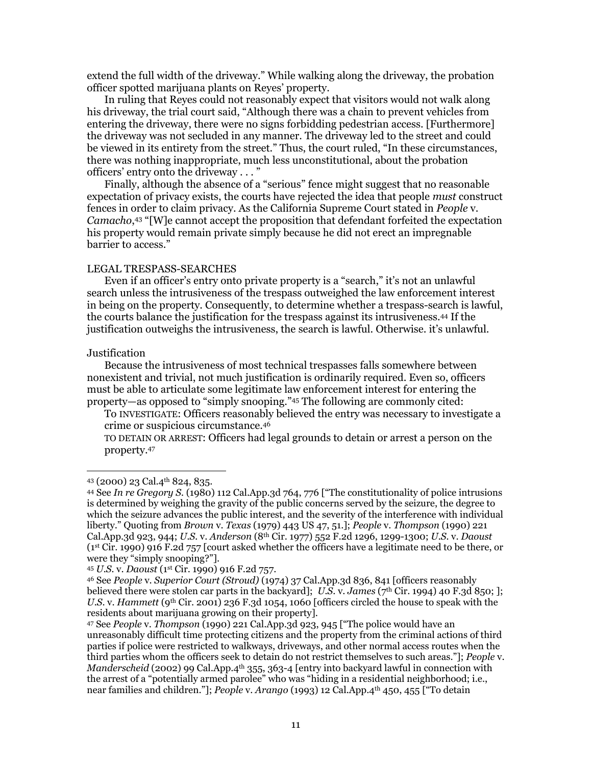<span id="page-10-4"></span>extend the full width of the driveway." While walking along the driveway, the probation officer spotted marijuana plants on Reyes' property.

In ruling that Reyes could not reasonably expect that visitors would not walk along his driveway, the trial court said, "Although there was a chain to prevent vehicles from entering the driveway, there were no signs forbidding pedestrian access. [Furthermore] the driveway was not secluded in any manner. The driveway led to the street and could be viewed in its entirety from the street." Thus, the court ruled, "In these circumstances, there was nothing inappropriate, much less unconstitutional, about the probation officers' entry onto the driveway . . . "

Finally, although the absence of a "serious" fence might suggest that no reasonable expectation of privacy exists, the courts have rejected the idea that people *must* construct fences in order to claim privacy. As the California Supreme Court stated in *People* v. *Camacho*, [43](#page-10-0) "[W]e cannot accept the proposition that defendant forfeited the expectation his property would remain private simply because he did not erect an impregnable barrier to access."

## LEGAL TRESPASS-SEARCHES

Even if an officer's entry onto private property is a "search," it's not an unlawful search unless the intrusiveness of the trespass outweighed the law enforcement interest in being on the property. Consequently, to determine whether a trespass-search is lawful, the courts balance the justification for the trespass against its intrusiveness.[44](#page-10-1) If the justification outweighs the intrusiveness, the search is lawful. Otherwise. it's unlawful.

### Justification

Because the intrusiveness of most technical trespasses falls somewhere between nonexistent and trivial, not much justification is ordinarily required. Even so, officers must be able to articulate some legitimate law enforcement interest for entering the property—as opposed to "simply snooping."[45](#page-10-2) The following are commonly cited:

To INVESTIGATE: Officers reasonably believed the entry was necessary to investigate a crime or suspicious circumstance.[46](#page-10-3)

TO DETAIN OR ARREST: Officers had legal grounds to detain or arrest a person on the property.[47](#page-10-4) 

<span id="page-10-0"></span> <sup>43 (2000) 23</sup> Cal.4th 824, 835.

<span id="page-10-1"></span><sup>44</sup> See *In re Gregory S.* (1980) 112 Cal.App.3d 764, 776 ["The constitutionality of police intrusions is determined by weighing the gravity of the public concerns served by the seizure, the degree to which the seizure advances the public interest, and the severity of the interference with individual liberty." Quoting from *Brown* v. *Texas* (1979) 443 US 47, 51.]; *People* v. *Thompson* (1990) 221 Cal.App.3d 923, 944; *U.S.* v. *Anderson* (8th Cir. 1977) 552 F.2d 1296, 1299-1300; *U.S.* v. *Daoust* (1st Cir. 1990) 916 F.2d 757 [court asked whether the officers have a legitimate need to be there, or were they "simply snooping?"].

<span id="page-10-2"></span><sup>45</sup> *U.S.* v. *Daoust* (1st Cir. 1990) 916 F.2d 757.

<span id="page-10-3"></span><sup>46</sup> See *People* v. *Superior Court (Stroud)* (1974) 37 Cal.App.3d 836, 841 [officers reasonably believed there were stolen car parts in the backyard]; *U.S*. v. *James* (7th Cir. 1994) 40 F.3d 850; ]; U.S. v. *Hammett* (9<sup>th</sup> Cir. 2001) 236 F.3d 1054, 1060 [officers circled the house to speak with the residents about marijuana growing on their property].

<sup>47</sup> See *People* v. *Thompson* (1990) 221 Cal.App.3d 923, 945 ["The police would have an unreasonably difficult time protecting citizens and the property from the criminal actions of third parties if police were restricted to walkways, driveways, and other normal access routes when the third parties whom the officers seek to detain do not restrict themselves to such areas."]; *People* v. *Manderscheid* (2002) 99 Cal.App.4th 355, 363-4 [entry into backyard lawful in connection with the arrest of a "potentially armed parolee" who was "hiding in a residential neighborhood; i.e., near families and children."]; *People* v. *Arango* (1993) 12 Cal.App.4th 450, 455 ["To detain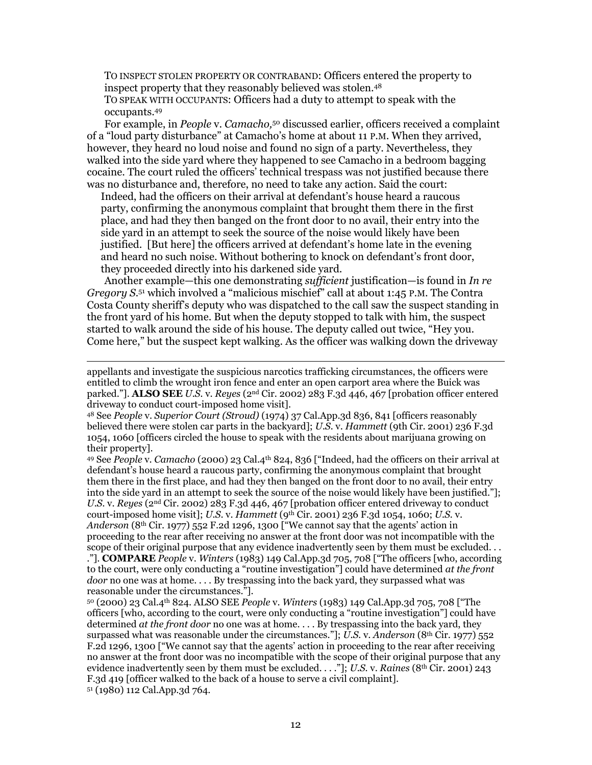TO INSPECT STOLEN PROPERTY OR CONTRABAND: Officers entered the property to inspect property that they reasonably believed was stolen.[48](#page-11-0) TO SPEAK WITH OCCUPANTS: Officers had a duty to attempt to speak with the occupants.[49](#page-11-1)

For example, in *People* v. *Camacho,*[50](#page-11-2) discussed earlier, officers received a complaint of a "loud party disturbance" at Camacho's home at about 11 P.M. When they arrived, however, they heard no loud noise and found no sign of a party. Nevertheless, they walked into the side yard where they happened to see Camacho in a bedroom bagging cocaine. The court ruled the officers' technical trespass was not justified because there was no disturbance and, therefore, no need to take any action. Said the court:

Indeed, had the officers on their arrival at defendant's house heard a raucous party, confirming the anonymous complaint that brought them there in the first place, and had they then banged on the front door to no avail, their entry into the side yard in an attempt to seek the source of the noise would likely have been justified. [But here] the officers arrived at defendant's home late in the evening and heard no such noise. Without bothering to knock on defendant's front door, they proceeded directly into his darkened side yard.

Another example—this one demonstrating *sufficient* justification—is found in *In re Gregory S.*[51 w](#page-11-3)hich involved a "malicious mischief" call at about 1:45 P.M. The Contra Costa County sheriff's deputy who was dispatched to the call saw the suspect standing in the front yard of his home. But when the deputy stopped to talk with him, the suspect started to walk around the side of his house. The deputy called out twice, "Hey you. Come here," but the suspect kept walking. As the officer was walking down the driveway

appellants and investigate the suspicious narcotics trafficking circumstances, the officers were entitled to climb the wrought iron fence and enter an open carport area where the Buick was parked."]. **ALSO SEE** *U.S.* v. *Reyes* (2nd Cir. 2002) 283 F.3d 446, 467 [probation officer entered driveway to conduct court-imposed home visit].

<span id="page-11-0"></span>48 See *People* v. *Superior Court (Stroud)* (1974) 37 Cal.App.3d 836, 841 [officers reasonably believed there were stolen car parts in the backyard]; *U.S.* v. *Hammett* (9th Cir. 2001) 236 F.3d 1054, 1060 [officers circled the house to speak with the residents about marijuana growing on their property].

<span id="page-11-1"></span>49 See *People* v. *Camacho* (2000) 23 Cal.4th 824, 836 ["Indeed, had the officers on their arrival at defendant's house heard a raucous party, confirming the anonymous complaint that brought them there in the first place, and had they then banged on the front door to no avail, their entry into the side yard in an attempt to seek the source of the noise would likely have been justified."]; *U.S.* v. *Reyes* (2nd Cir. 2002) 283 F.3d 446, 467 [probation officer entered driveway to conduct court-imposed home visit]; *U.S*. v. *Hammett* (9th Cir. 2001) 236 F.3d 1054, 1060; *U.S.* v. *Anderson* (8th Cir. 1977) 552 F.2d 1296, 1300 ["We cannot say that the agents' action in proceeding to the rear after receiving no answer at the front door was not incompatible with the scope of their original purpose that any evidence inadvertently seen by them must be excluded... ."]. **COMPARE** *People* v. *Winters* (1983) 149 Cal.App.3d 705, 708 ["The officers [who, according to the court, were only conducting a "routine investigation"] could have determined *at the front* 

*door* no one was at home. . . . By trespassing into the back yard, they surpassed what was reasonable under the circumstances."].

<span id="page-11-2"></span>50 (2000) 23 Cal.4th 824. ALSO SEE *People* v. *Winters* (1983) 149 Cal.App.3d 705, 708 ["The officers [who, according to the court, were only conducting a "routine investigation"] could have determined *at the front door* no one was at home. . . . By trespassing into the back yard, they surpassed what was reasonable under the circumstances."]; *U.S.* v. *Anderson* (8th Cir. 1977) 552 F.2d 1296, 1300 ["We cannot say that the agents' action in proceeding to the rear after receiving no answer at the front door was no incompatible with the scope of their original purpose that any evidence inadvertently seen by them must be excluded. . . ."]; *U.S.* v. *Raines* (8th Cir. 2001) 243 F.3d 419 [officer walked to the back of a house to serve a civil complaint].

<span id="page-11-3"></span>51 (1980) 112 Cal.App.3d 764.

 $\overline{a}$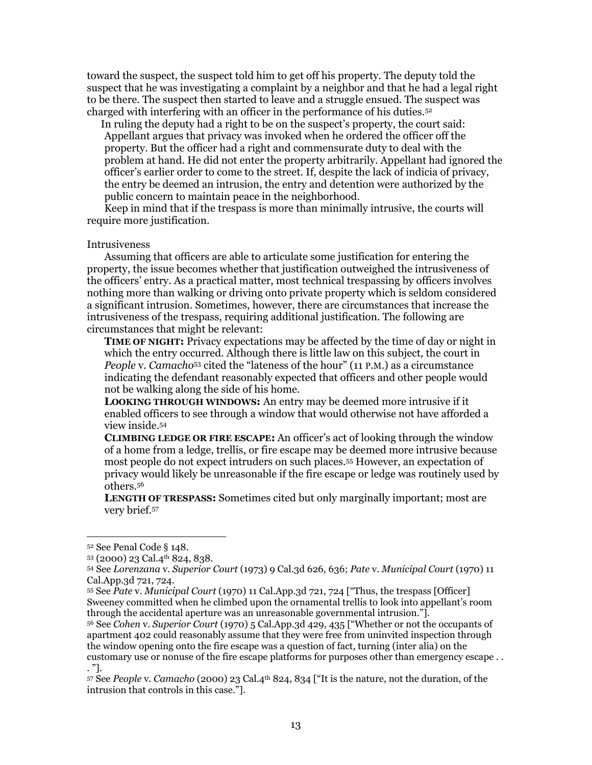toward the suspect, the suspect told him to get off his property. The deputy told the suspect that he was investigating a complaint by a neighbor and that he had a legal right to be there. The suspect then started to leave and a struggle ensued. The suspect was charged with interfering with an officer in the performance of his duties.[52](#page-12-0)

In ruling the deputy had a right to be on the suspect's property, the court said: Appellant argues that privacy was invoked when he ordered the officer off the property. But the officer had a right and commensurate duty to deal with the problem at hand. He did not enter the property arbitrarily. Appellant had ignored the officer's earlier order to come to the street. If, despite the lack of indicia of privacy, the entry be deemed an intrusion, the entry and detention were authorized by the public concern to maintain peace in the neighborhood.

Keep in mind that if the trespass is more than minimally intrusive, the courts will require more justification.

### Intrusiveness

Assuming that officers are able to articulate some justification for entering the property, the issue becomes whether that justification outweighed the intrusiveness of the officers' entry. As a practical matter, most technical trespassing by officers involves nothing more than walking or driving onto private property which is seldom considered a significant intrusion. Sometimes, however, there are circumstances that increase the intrusiveness of the trespass, requiring additional justification. The following are circumstances that might be relevant:

**TIME OF NIGHT:** Privacy expectations may be affected by the time of day or night in which the entry occurred. Although there is little law on this subject, the court in *People* v. *Camacho*[53](#page-12-1) cited the "lateness of the hour" (11 P.M.) as a circumstance indicating the defendant reasonably expected that officers and other people would not be walking along the side of his home.

**LOOKING THROUGH WINDOWS:** An entry may be deemed more intrusive if it enabled officers to see through a window that would otherwise not have afforded a view inside.[54](#page-12-2) 

**CLIMBING LEDGE OR FIRE ESCAPE:** An officer's act of looking through the window of a home from a ledge, trellis, or fire escape may be deemed more intrusive because most people do not expect intruders on such places.[55 H](#page-12-3)owever, an expectation of privacy would likely be unreasonable if the fire escape or ledge was routinely used by others.[56](#page-12-4)

**LENGTH OF TRESPASS:** Sometimes cited but only marginally important; most are very brief.[57](#page-12-5)

<span id="page-12-0"></span> <sup>52</sup> See Penal Code § 148.

<span id="page-12-1"></span><sup>53 (2000) 23</sup> Cal.4th 824, 838.

<span id="page-12-2"></span><sup>54</sup> See *Lorenzana* v. *Superior Court* (1973) 9 Cal.3d 626, 636; *Pate* v. *Municipal Court* (1970) 11 Cal.App.3d 721, 724.

<span id="page-12-3"></span><sup>55</sup> See *Pate* v. *Municipal Court* (1970) 11 Cal.App.3d 721, 724 ["Thus, the trespass [Officer] Sweeney committed when he climbed upon the ornamental trellis to look into appellant's room through the accidental aperture was an unreasonable governmental intrusion."].

<span id="page-12-4"></span><sup>56</sup> See *Cohen* v. *Superior Court* (1970) 5 Cal.App.3d 429, 435 ["Whether or not the occupants of apartment 402 could reasonably assume that they were free from uninvited inspection through the window opening onto the fire escape was a question of fact, turning (inter alia) on the customary use or nonuse of the fire escape platforms for purposes other than emergency escape . .

<sup>. &</sup>quot;].

<span id="page-12-5"></span><sup>57</sup> See *People* v. *Camacho* (2000) 23 Cal.4th 824, 834 ["It is the nature, not the duration, of the intrusion that controls in this case."].